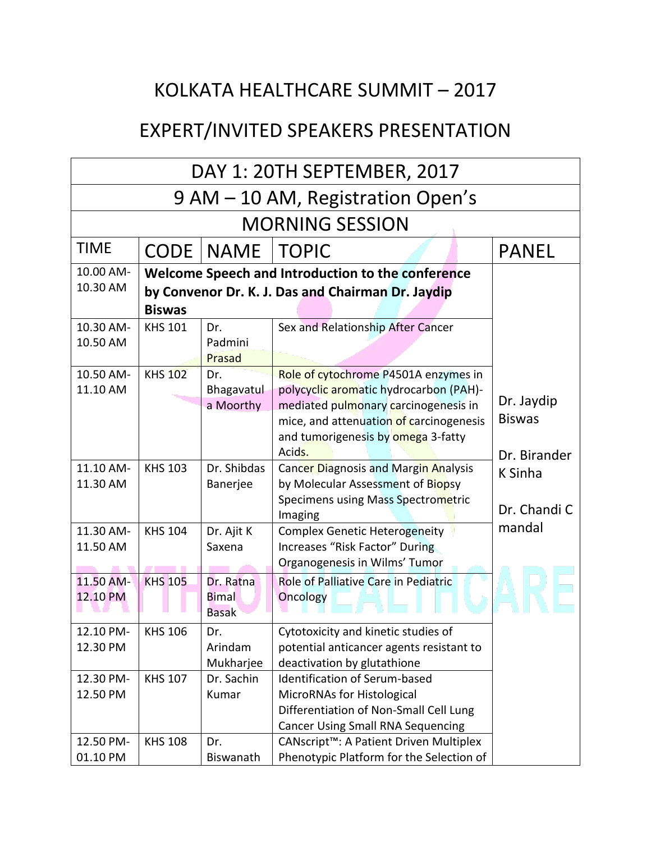## KOLKATA HEALTHCARE SUMMIT – 2017

## EXPERT/INVITED SPEAKERS PRESENTATION

|                                   | DAY 1: 20TH SEPTEMBER, 2017                                                                                             |                                           |                                                                                                                                                                                                                   |                                             |  |
|-----------------------------------|-------------------------------------------------------------------------------------------------------------------------|-------------------------------------------|-------------------------------------------------------------------------------------------------------------------------------------------------------------------------------------------------------------------|---------------------------------------------|--|
| 9 AM - 10 AM, Registration Open's |                                                                                                                         |                                           |                                                                                                                                                                                                                   |                                             |  |
| <b>MORNING SESSION</b>            |                                                                                                                         |                                           |                                                                                                                                                                                                                   |                                             |  |
| <b>TIME</b>                       | <b>CODE</b>                                                                                                             | NAME                                      | <b>TOPIC</b>                                                                                                                                                                                                      | <b>PANEL</b>                                |  |
| 10.00 AM-<br>10.30 AM             | Welcome Speech and Introduction to the conference<br>by Convenor Dr. K. J. Das and Chairman Dr. Jaydip<br><b>Biswas</b> |                                           |                                                                                                                                                                                                                   |                                             |  |
| 10.30 AM-<br>10.50 AM             | <b>KHS 101</b>                                                                                                          | Dr.<br>Padmini<br>Prasad                  | Sex and Relationship After Cancer                                                                                                                                                                                 |                                             |  |
| 10.50 AM-<br>11.10 AM             | <b>KHS 102</b>                                                                                                          | Dr.<br>Bhagavatul<br>a Moorthy            | Role of cytochrome P4501A enzymes in<br>polycyclic aromatic hydrocarbon (PAH)-<br>mediated pulmonary carcinogenesis in<br>mice, and attenuation of carcinogenesis<br>and tumorigenesis by omega 3-fatty<br>Acids. | Dr. Jaydip<br><b>Biswas</b><br>Dr. Birander |  |
| 11.10 AM-<br>11.30 AM             | <b>KHS 103</b>                                                                                                          | Dr. Shibdas<br>Banerjee                   | Cancer Diagnosis and Margin Analysis<br>by Molecular Assessment of Biopsy<br>Specimens using Mass Spectrometric<br>Imaging                                                                                        | <b>K</b> Sinha<br>Dr. Chandi C              |  |
| 11.30 AM-<br>11.50 AM             | <b>KHS 104</b>                                                                                                          | Dr. Ajit K<br>Saxena                      | <b>Complex Genetic Heterogeneity</b><br>Increases "Risk Factor" During<br>Organogenesis in Wilms' Tumor                                                                                                           | mandal                                      |  |
| 11.50 AM-<br>12.10 PM             | <b>KHS 105</b>                                                                                                          | Dr. Ratna<br><b>Bimal</b><br><b>Basak</b> | Role of Palliative Care in Pediatric<br><b>Oncology</b>                                                                                                                                                           |                                             |  |
| 12.10 PM-<br>12.30 PM             | <b>KHS 106</b>                                                                                                          | Dr.<br>Arindam<br>Mukharjee               | Cytotoxicity and kinetic studies of<br>potential anticancer agents resistant to<br>deactivation by glutathione                                                                                                    |                                             |  |
| 12.30 PM-<br>12.50 PM             | <b>KHS 107</b>                                                                                                          | Dr. Sachin<br>Kumar                       | <b>Identification of Serum-based</b><br>MicroRNAs for Histological<br>Differentiation of Non-Small Cell Lung<br><b>Cancer Using Small RNA Sequencing</b>                                                          |                                             |  |
| 12.50 PM-<br>01.10 PM             | <b>KHS 108</b>                                                                                                          | Dr.<br>Biswanath                          | CANscript <sup>™</sup> : A Patient Driven Multiplex<br>Phenotypic Platform for the Selection of                                                                                                                   |                                             |  |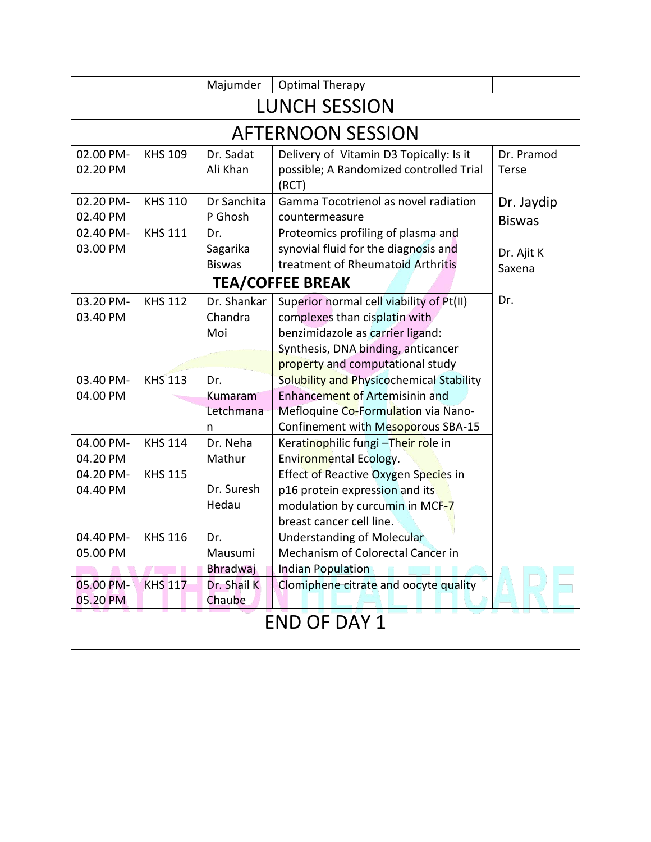|                          |                | Majumder      | <b>Optimal Therapy</b>                           |               |  |
|--------------------------|----------------|---------------|--------------------------------------------------|---------------|--|
| <b>LUNCH SESSION</b>     |                |               |                                                  |               |  |
| <b>AFTERNOON SESSION</b> |                |               |                                                  |               |  |
| 02.00 PM-                | <b>KHS 109</b> | Dr. Sadat     | Delivery of Vitamin D3 Topically: Is it          | Dr. Pramod    |  |
| 02.20 PM                 |                | Ali Khan      | possible; A Randomized controlled Trial<br>(RCT) | Terse         |  |
| 02.20 PM-                | <b>KHS 110</b> | Dr Sanchita   | Gamma Tocotrienol as novel radiation             | Dr. Jaydip    |  |
| 02.40 PM                 |                | P Ghosh       | countermeasure                                   | <b>Biswas</b> |  |
| 02.40 PM-                | <b>KHS 111</b> | Dr.           | Proteomics profiling of plasma and               |               |  |
| 03.00 PM                 |                | Sagarika      | synovial fluid for the diagnosis and             | Dr. Ajit K    |  |
|                          |                | <b>Biswas</b> | treatment of Rheumatoid Arthritis                | Saxena        |  |
|                          |                |               | <b>TEA/COFFEE BREAK</b>                          |               |  |
| 03.20 PM-                | <b>KHS 112</b> | Dr. Shankar   | Superior normal cell viability of Pt(II)         | Dr.           |  |
| 03.40 PM                 |                | Chandra       | complexes than cisplatin with                    |               |  |
|                          |                | Moi           | benzimidazole as carrier ligand:                 |               |  |
|                          |                |               | Synthesis, DNA binding, anticancer               |               |  |
|                          |                |               | property and computational study                 |               |  |
| 03.40 PM-                | <b>KHS 113</b> | Dr.           | Solubility and Physicochemical Stability         |               |  |
| 04.00 PM                 |                | Kumaram       | Enhancement of Artemisinin and                   |               |  |
|                          |                | Letchmana     | Mefloquine Co-Formulation via Nano-              |               |  |
|                          |                | n             | Confinement with Mesoporous SBA-15               |               |  |
| 04.00 PM-                | <b>KHS 114</b> | Dr. Neha      | Keratinophilic fungi - Their role in             |               |  |
| 04.20 PM                 |                | Mathur        | Environmental Ecology.                           |               |  |
| 04.20 PM-                | <b>KHS 115</b> |               | Effect of Reactive Oxygen Species in             |               |  |
| 04.40 PM                 |                | Dr. Suresh    | p16 protein expression and its                   |               |  |
|                          |                | Hedau         | modulation by curcumin in MCF-7                  |               |  |
|                          |                |               | breast cancer cell line.                         |               |  |
| 04.40 PM-                | <b>KHS 116</b> | Dr.           | <b>Understanding of Molecular</b>                |               |  |
| 05.00 PM                 |                | Mausumi       | Mechanism of Colorectal Cancer in                |               |  |
|                          |                | Bhradwaj      | <b>Indian Population</b>                         |               |  |
| 05.00 PM-                | <b>KHS 117</b> | Dr. Shail K   | Clomiphene citrate and oocyte quality            |               |  |
| 05.20 PM                 |                | Chaube        |                                                  |               |  |
| <b>END OF DAY 1</b>      |                |               |                                                  |               |  |
|                          |                |               |                                                  |               |  |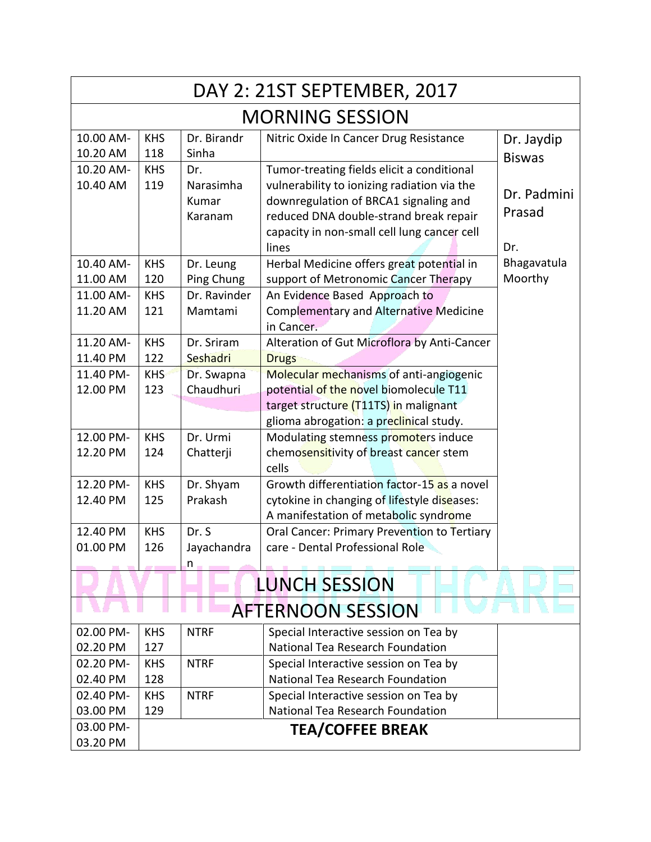| DAY 2: 21ST SEPTEMBER, 2017                      |                        |                                      |                                                                                                                                                                                                                                      |                              |  |  |
|--------------------------------------------------|------------------------|--------------------------------------|--------------------------------------------------------------------------------------------------------------------------------------------------------------------------------------------------------------------------------------|------------------------------|--|--|
|                                                  | <b>MORNING SESSION</b> |                                      |                                                                                                                                                                                                                                      |                              |  |  |
| 10.00 AM-<br>10.20 AM                            | <b>KHS</b><br>118      | Dr. Birandr<br>Sinha                 | Nitric Oxide In Cancer Drug Resistance                                                                                                                                                                                               | Dr. Jaydip<br><b>Biswas</b>  |  |  |
| 10.20 AM-<br>10.40 AM                            | <b>KHS</b><br>119      | Dr.<br>Narasimha<br>Kumar<br>Karanam | Tumor-treating fields elicit a conditional<br>vulnerability to ionizing radiation via the<br>downregulation of BRCA1 signaling and<br>reduced DNA double-strand break repair<br>capacity in non-small cell lung cancer cell<br>lines | Dr. Padmini<br>Prasad<br>Dr. |  |  |
| 10.40 AM-                                        | <b>KHS</b>             | Dr. Leung                            | Herbal Medicine offers great potential in                                                                                                                                                                                            | Bhagavatula                  |  |  |
| 11.00 AM<br>11.00 AM-                            | 120                    | Ping Chung<br>Dr. Ravinder           | support of Metronomic Cancer Therapy                                                                                                                                                                                                 | Moorthy                      |  |  |
| 11.20 AM                                         | <b>KHS</b><br>121      | Mamtami                              | An Evidence Based Approach to<br><b>Complementary and Alternative Medicine</b><br>in Cancer.                                                                                                                                         |                              |  |  |
| 11.20 AM-                                        | <b>KHS</b>             | Dr. Sriram                           | Alteration of Gut Microflora by Anti-Cancer                                                                                                                                                                                          |                              |  |  |
| 11.40 PM                                         | 122                    | Seshadri                             | <b>Drugs</b>                                                                                                                                                                                                                         |                              |  |  |
| 11.40 PM-                                        | <b>KHS</b>             | Dr. Swapna                           | Molecular mechanisms of anti-angiogenic                                                                                                                                                                                              |                              |  |  |
| 12.00 PM                                         | 123                    | Chaudhuri                            | potential of the novel biomolecule T11                                                                                                                                                                                               |                              |  |  |
|                                                  |                        |                                      | target structure (T11TS) in malignant                                                                                                                                                                                                |                              |  |  |
| 12.00 PM-                                        | <b>KHS</b>             | Dr. Urmi                             | glioma abrogation: a preclinical study.<br>Modulating stemness promoters induce                                                                                                                                                      |                              |  |  |
| 12.20 PM                                         | 124                    | Chatterji                            | chemosensitivity of breast cancer stem<br>cells                                                                                                                                                                                      |                              |  |  |
| 12.20 PM-                                        | <b>KHS</b>             | Dr. Shyam                            | Growth differentiation factor-15 as a novel                                                                                                                                                                                          |                              |  |  |
| 12.40 PM                                         | 125                    | Prakash                              | cytokine in changing of lifestyle diseases:<br>A manifestation of metabolic syndrome                                                                                                                                                 |                              |  |  |
| 12.40 PM                                         | <b>KHS</b>             | Dr. S                                | Oral Cancer: Primary Prevention to Tertiary                                                                                                                                                                                          |                              |  |  |
| 01.00 PM                                         | 126                    | Jayachandra                          | care - Dental Professional Role                                                                                                                                                                                                      |                              |  |  |
|                                                  |                        | n                                    |                                                                                                                                                                                                                                      |                              |  |  |
|                                                  |                        |                                      | <b>LUNCH SESSION</b>                                                                                                                                                                                                                 |                              |  |  |
| <b>AFTERNOON SESSION</b>                         |                        |                                      |                                                                                                                                                                                                                                      |                              |  |  |
| 02.00 PM-                                        | <b>KHS</b>             | <b>NTRF</b>                          | Special Interactive session on Tea by                                                                                                                                                                                                |                              |  |  |
| 02.20 PM                                         | 127                    |                                      | National Tea Research Foundation                                                                                                                                                                                                     |                              |  |  |
| 02.20 PM-                                        | <b>KHS</b>             | <b>NTRF</b>                          | Special Interactive session on Tea by                                                                                                                                                                                                |                              |  |  |
| 02.40 PM                                         | 128                    |                                      | National Tea Research Foundation                                                                                                                                                                                                     |                              |  |  |
| 02.40 PM-                                        | <b>KHS</b>             | <b>NTRF</b>                          | Special Interactive session on Tea by                                                                                                                                                                                                |                              |  |  |
| 03.00 PM                                         | 129                    |                                      | National Tea Research Foundation                                                                                                                                                                                                     |                              |  |  |
| 03.00 PM-<br><b>TEA/COFFEE BREAK</b><br>03.20 PM |                        |                                      |                                                                                                                                                                                                                                      |                              |  |  |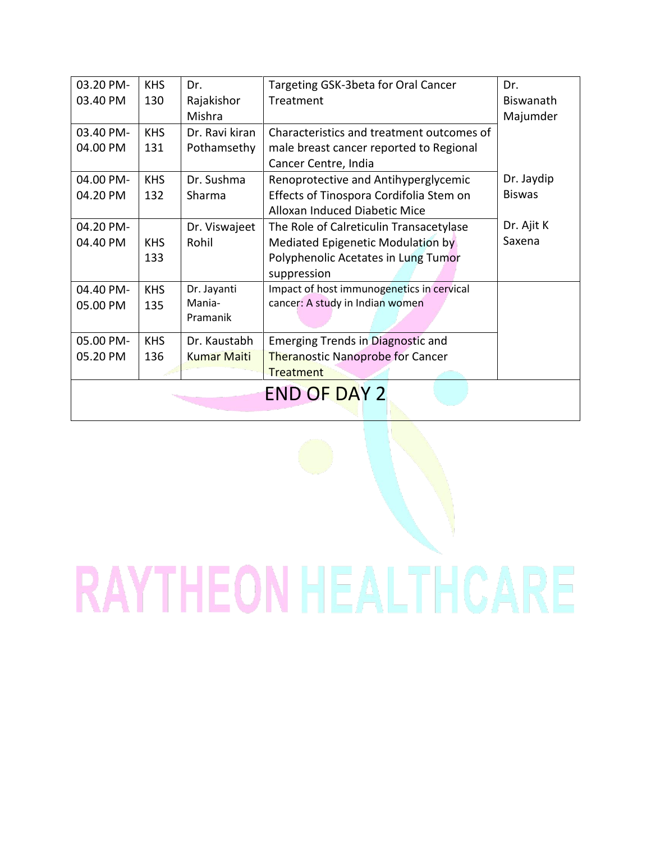| 03.20 PM-           | <b>KHS</b> | Dr.                | Targeting GSK-3beta for Oral Cancer       | Dr.           |  |
|---------------------|------------|--------------------|-------------------------------------------|---------------|--|
| 03.40 PM            | 130        | Rajakishor         | Treatment                                 | Biswanath     |  |
|                     |            | Mishra             |                                           | Majumder      |  |
| 03.40 PM-           | <b>KHS</b> | Dr. Ravi kiran     | Characteristics and treatment outcomes of |               |  |
| 04.00 PM            | 131        | Pothamsethy        | male breast cancer reported to Regional   |               |  |
|                     |            |                    | Cancer Centre, India                      |               |  |
| 04.00 PM-           | <b>KHS</b> | Dr. Sushma         | Renoprotective and Antihyperglycemic      | Dr. Jaydip    |  |
| 04.20 PM            | 132        | Sharma             | Effects of Tinospora Cordifolia Stem on   | <b>Biswas</b> |  |
|                     |            |                    | Alloxan Induced Diabetic Mice             |               |  |
| 04.20 PM-           |            | Dr. Viswajeet      | The Role of Calreticulin Transacetylase   | Dr. Ajit K    |  |
| 04.40 PM            | <b>KHS</b> | Rohil              | Mediated Epigenetic Modulation by         | Saxena        |  |
|                     | 133        |                    | Polyphenolic Acetates in Lung Tumor       |               |  |
|                     |            |                    | suppression                               |               |  |
| 04.40 PM-           | <b>KHS</b> | Dr. Jayanti        | Impact of host immunogenetics in cervical |               |  |
| 05.00 PM            | 135        | Mania-             | cancer: A study in Indian women           |               |  |
|                     |            | Pramanik           |                                           |               |  |
| 05.00 PM-           | <b>KHS</b> | Dr. Kaustabh       | Emerging Trends in Diagnostic and         |               |  |
| 05.20 PM            | 136        | <b>Kumar Maiti</b> | <b>Theranostic Nanoprobe for Cancer</b>   |               |  |
|                     |            |                    | Treatment                                 |               |  |
| <b>END OF DAY 2</b> |            |                    |                                           |               |  |
|                     |            |                    |                                           |               |  |

## **RAYTHEON HEALTHCARE**